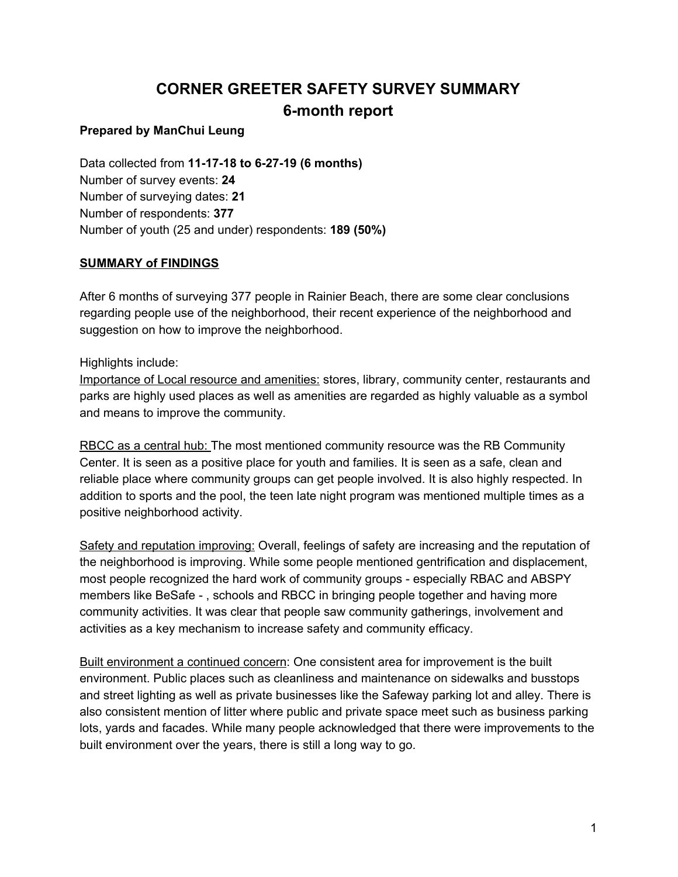# **CORNER GREETER SAFETY SURVEY SUMMARY 6-month report**

### **Prepared by ManChui Leung**

Data collected from **11-17-18 to 6-27-19 (6 months)** Number of survey events: **24** Number of surveying dates: **21** Number of respondents: **377** Number of youth (25 and under) respondents: **189 (50%)**

### **SUMMARY of FINDINGS**

After 6 months of surveying 377 people in Rainier Beach, there are some clear conclusions regarding people use of the neighborhood, their recent experience of the neighborhood and suggestion on how to improve the neighborhood.

Highlights include:

Importance of Local resource and amenities: stores, library, community center, restaurants and parks are highly used places as well as amenities are regarded as highly valuable as a symbol and means to improve the community.

RBCC as a central hub: The most mentioned community resource was the RB Community Center. It is seen as a positive place for youth and families. It is seen as a safe, clean and reliable place where community groups can get people involved. It is also highly respected. In addition to sports and the pool, the teen late night program was mentioned multiple times as a positive neighborhood activity.

Safety and reputation improving: Overall, feelings of safety are increasing and the reputation of the neighborhood is improving. While some people mentioned gentrification and displacement, most people recognized the hard work of community groups - especially RBAC and ABSPY members like BeSafe - , schools and RBCC in bringing people together and having more community activities. It was clear that people saw community gatherings, involvement and activities as a key mechanism to increase safety and community efficacy.

Built environment a continued concern: One consistent area for improvement is the built environment. Public places such as cleanliness and maintenance on sidewalks and busstops and street lighting as well as private businesses like the Safeway parking lot and alley. There is also consistent mention of litter where public and private space meet such as business parking lots, yards and facades. While many people acknowledged that there were improvements to the built environment over the years, there is still a long way to go.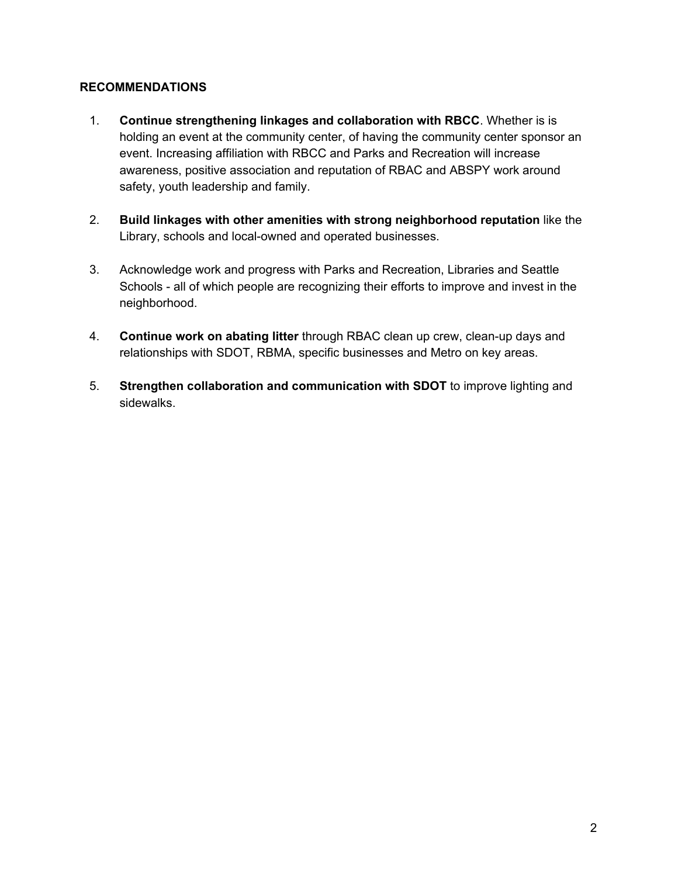#### **RECOMMENDATIONS**

- 1. **Continue strengthening linkages and collaboration with RBCC**. Whether is is holding an event at the community center, of having the community center sponsor an event. Increasing affiliation with RBCC and Parks and Recreation will increase awareness, positive association and reputation of RBAC and ABSPY work around safety, youth leadership and family.
- 2. **Build linkages with other amenities with strong neighborhood reputation** like the Library, schools and local-owned and operated businesses.
- 3. Acknowledge work and progress with Parks and Recreation, Libraries and Seattle Schools - all of which people are recognizing their efforts to improve and invest in the neighborhood.
- 4. **Continue work on abating litter** through RBAC clean up crew, clean-up days and relationships with SDOT, RBMA, specific businesses and Metro on key areas.
- 5. **Strengthen collaboration and communication with SDOT** to improve lighting and sidewalks.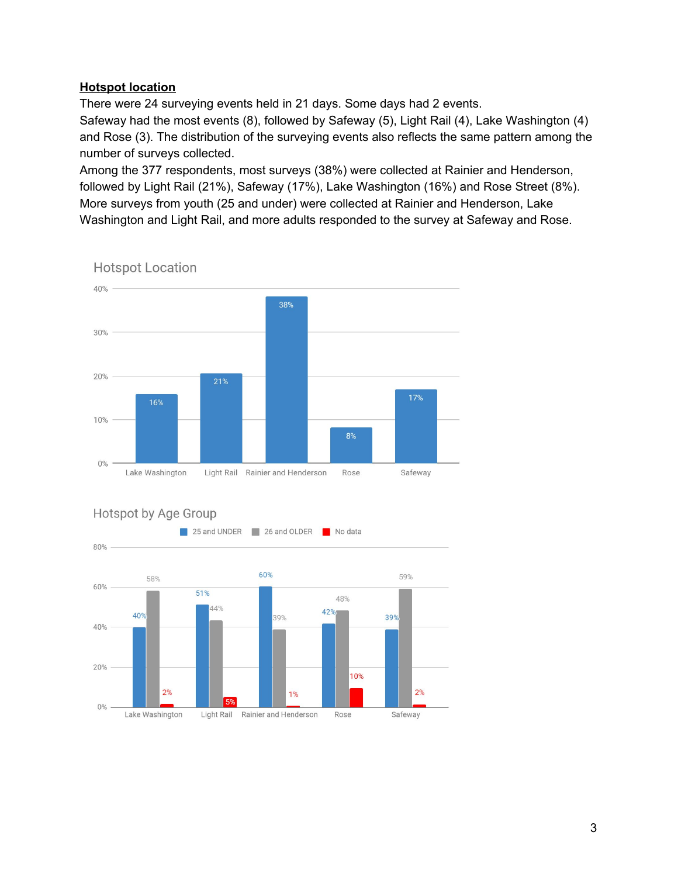#### **Hotspot location**

There were 24 surveying events held in 21 days. Some days had 2 events. Safeway had the most events (8), followed by Safeway (5), Light Rail (4), Lake Washington (4) and Rose (3). The distribution of the surveying events also reflects the same pattern among the number of surveys collected.

Among the 377 respondents, most surveys (38%) were collected at Rainier and Henderson, followed by Light Rail (21%), Safeway (17%), Lake Washington (16%) and Rose Street (8%). More surveys from youth (25 and under) were collected at Rainier and Henderson, Lake Washington and Light Rail, and more adults responded to the survey at Safeway and Rose.



**Hotspot Location** 



### **Hotspot by Age Group**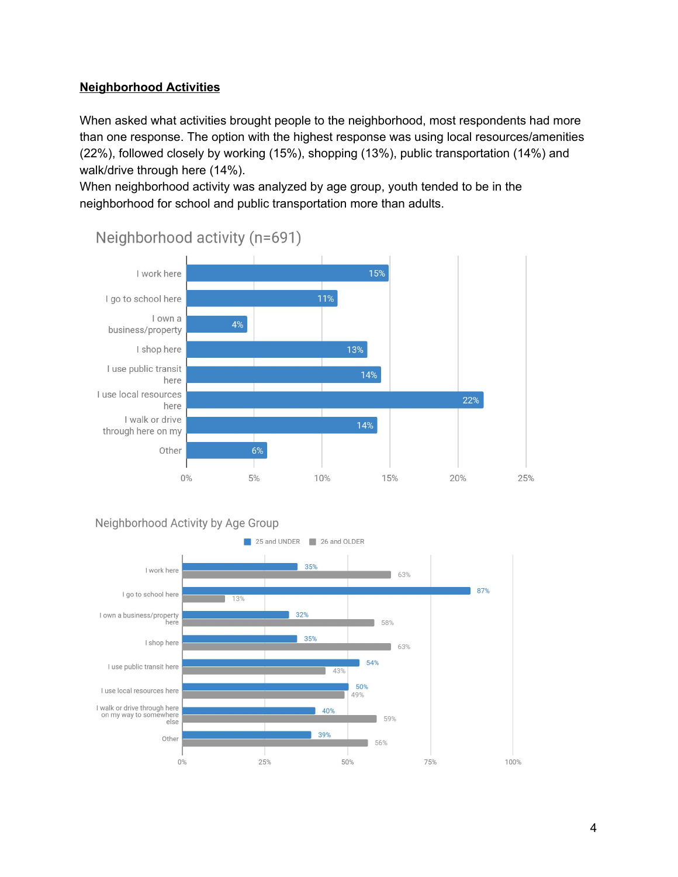### **Neighborhood Activities**

When asked what activities brought people to the neighborhood, most respondents had more than one response. The option with the highest response was using local resources/amenities (22%), followed closely by working (15%), shopping (13%), public transportation (14%) and walk/drive through here (14%).

When neighborhood activity was analyzed by age group, youth tended to be in the neighborhood for school and public transportation more than adults.



Neighborhood activity (n=691)



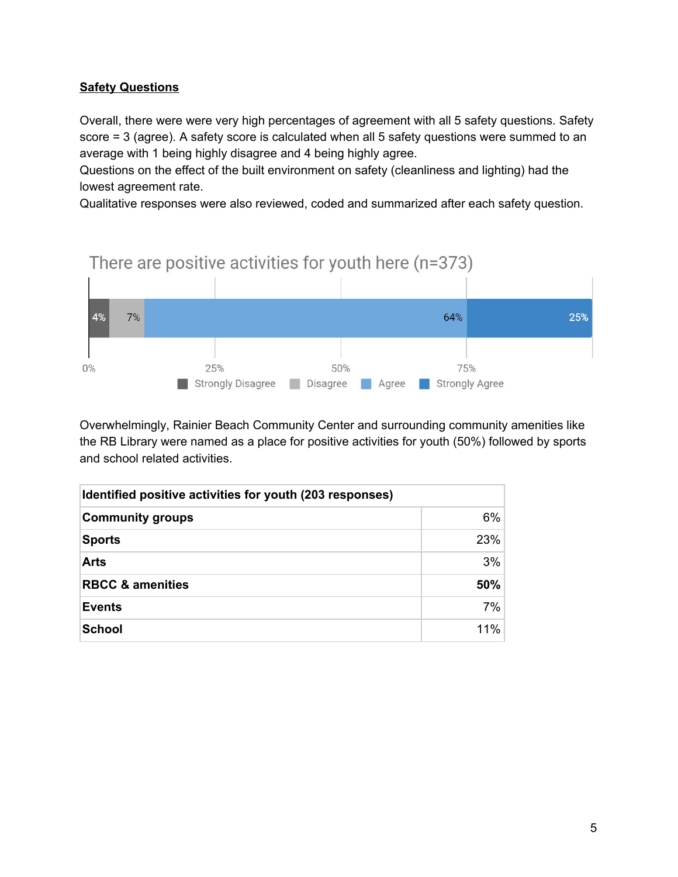### **Safety Questions**

Overall, there were were very high percentages of agreement with all 5 safety questions. Safety score = 3 (agree). A safety score is calculated when all 5 safety questions were summed to an average with 1 being highly disagree and 4 being highly agree.

Questions on the effect of the built environment on safety (cleanliness and lighting) had the lowest agreement rate.

Qualitative responses were also reviewed, coded and summarized after each safety question.



Overwhelmingly, Rainier Beach Community Center and surrounding community amenities like the RB Library were named as a place for positive activities for youth (50%) followed by sports and school related activities.

| Identified positive activities for youth (203 responses) |     |  |
|----------------------------------------------------------|-----|--|
| <b>Community groups</b>                                  | 6%  |  |
| <b>Sports</b>                                            | 23% |  |
| <b>Arts</b>                                              | 3%  |  |
| <b>RBCC &amp; amenities</b>                              | 50% |  |
| <b>Events</b>                                            | 7%  |  |
| School                                                   | 11% |  |

# There are positive activities for youth here (n=373)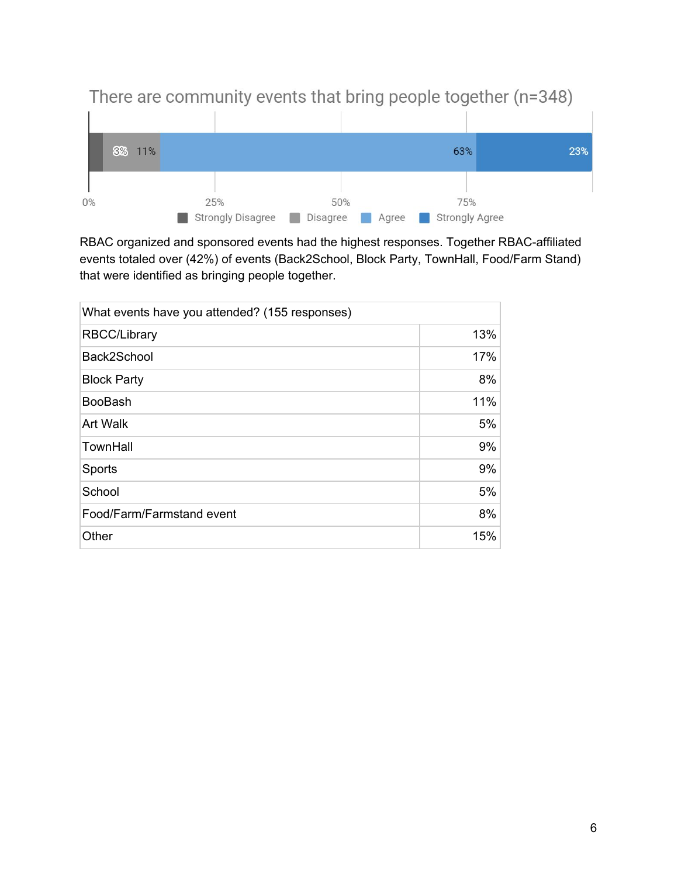

RBAC organized and sponsored events had the highest responses. Together RBAC-affiliated events totaled over (42%) of events (Back2School, Block Party, TownHall, Food/Farm Stand) that were identified as bringing people together.

| What events have you attended? (155 responses) |     |
|------------------------------------------------|-----|
| <b>RBCC/Library</b>                            | 13% |
| Back2School                                    | 17% |
| <b>Block Party</b>                             | 8%  |
| <b>BooBash</b>                                 | 11% |
| <b>Art Walk</b>                                | 5%  |
| TownHall                                       | 9%  |
| Sports                                         | 9%  |
| School                                         | 5%  |
| Food/Farm/Farmstand event                      | 8%  |
| Other                                          | 15% |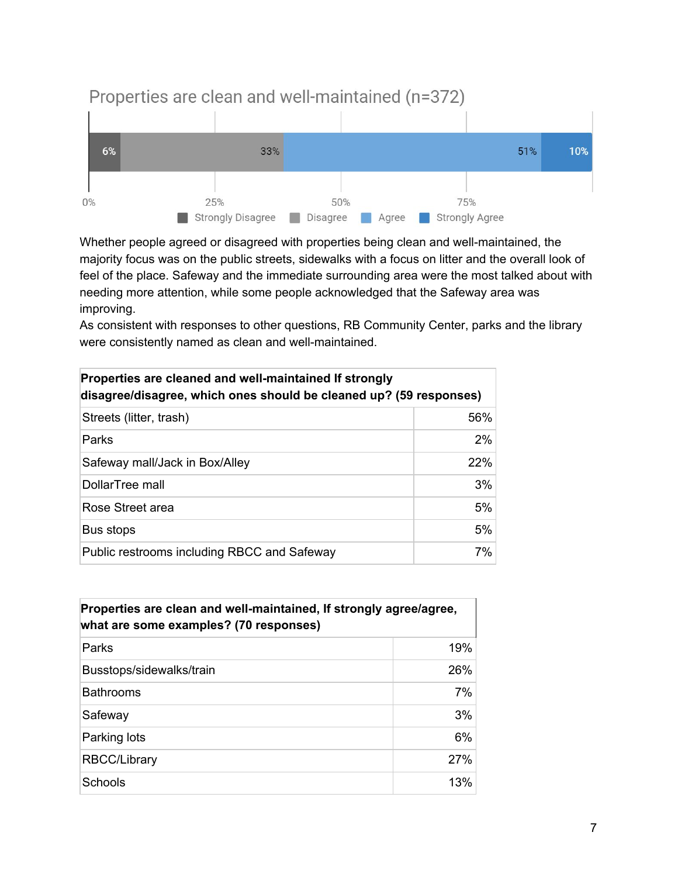

Properties are clean and well-maintained (n=372)

Whether people agreed or disagreed with properties being clean and well-maintained, the majority focus was on the public streets, sidewalks with a focus on litter and the overall look of feel of the place. Safeway and the immediate surrounding area were the most talked about with needing more attention, while some people acknowledged that the Safeway area was improving.

As consistent with responses to other questions, RB Community Center, parks and the library were consistently named as clean and well-maintained.

| Properties are cleaned and well-maintained If strongly<br>disagree/disagree, which ones should be cleaned up? (59 responses) |       |  |
|------------------------------------------------------------------------------------------------------------------------------|-------|--|
| Streets (litter, trash)                                                                                                      | 56%   |  |
| Parks                                                                                                                        | $2\%$ |  |
| Safeway mall/Jack in Box/Alley                                                                                               | 22%   |  |
| DollarTree mall                                                                                                              | 3%    |  |
| Rose Street area                                                                                                             | 5%    |  |
| Bus stops                                                                                                                    | 5%    |  |
| Public restrooms including RBCC and Safeway                                                                                  | 7%    |  |

| Properties are clean and well-maintained, If strongly agree/agree,<br>what are some examples? (70 responses) |     |
|--------------------------------------------------------------------------------------------------------------|-----|
| Parks                                                                                                        | 19% |
| Busstops/sidewalks/train                                                                                     | 26% |
| <b>Bathrooms</b>                                                                                             | 7%  |
| Safeway                                                                                                      | 3%  |
| Parking lots                                                                                                 | 6%  |
| <b>RBCC/Library</b>                                                                                          | 27% |
| Schools                                                                                                      | 13% |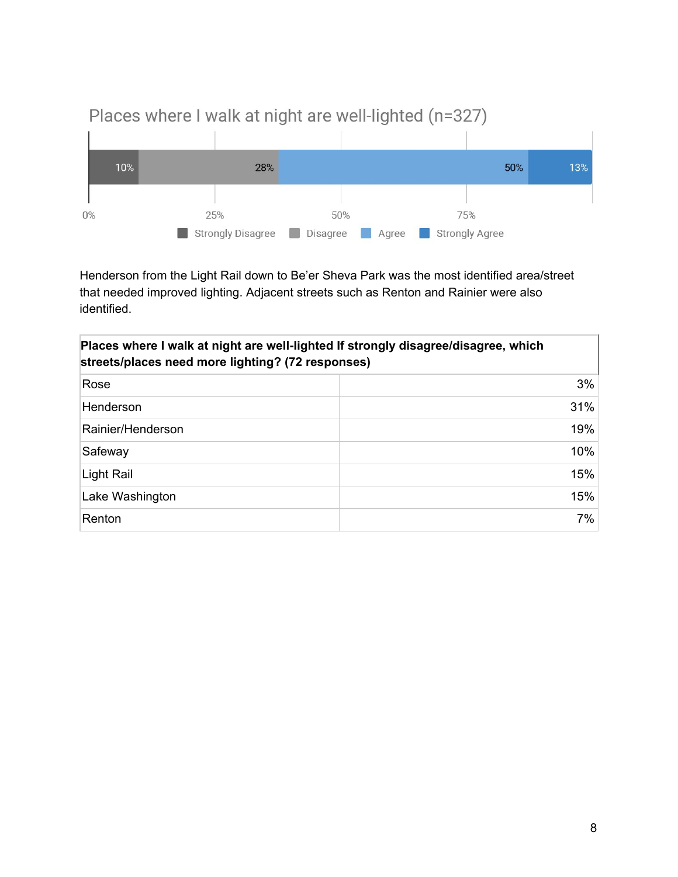

# Places where I walk at night are well-lighted (n=327)

Henderson from the Light Rail down to Be'er Sheva Park was the most identified area/street that needed improved lighting. Adjacent streets such as Renton and Rainier were also identified.

| Places where I walk at night are well-lighted If strongly disagree/disagree, which<br>streets/places need more lighting? (72 responses) |     |
|-----------------------------------------------------------------------------------------------------------------------------------------|-----|
| Rose                                                                                                                                    | 3%  |
| Henderson                                                                                                                               | 31% |
| Rainier/Henderson                                                                                                                       | 19% |
| Safeway                                                                                                                                 | 10% |
| Light Rail                                                                                                                              | 15% |
| Lake Washington                                                                                                                         | 15% |
| Renton                                                                                                                                  | 7%  |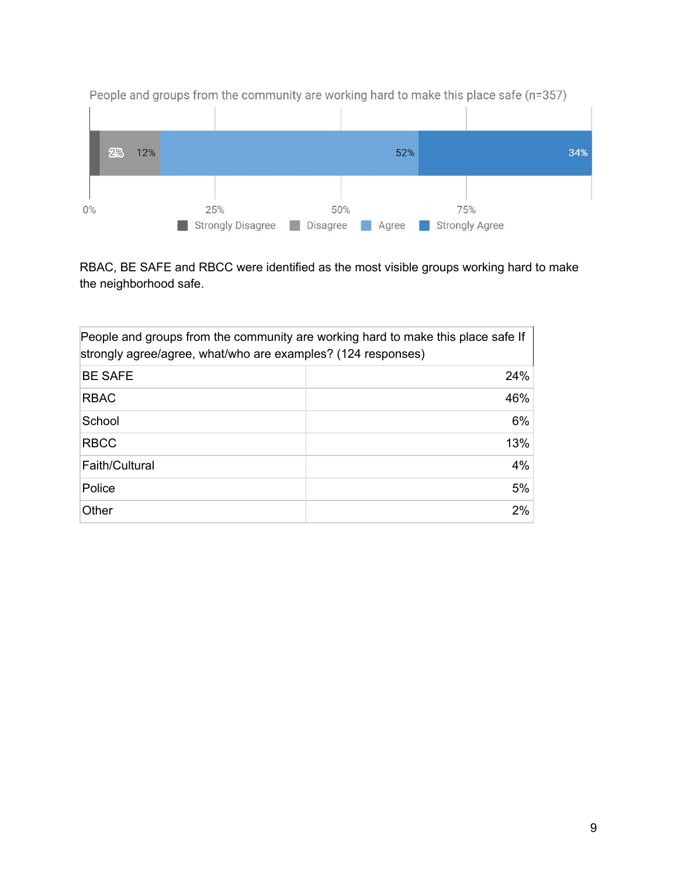

People and groups from the community are working hard to make this place safe (n=357)

RBAC, BE SAFE and RBCC were identified as the most visible groups working hard to make the neighborhood safe.

| People and groups from the community are working hard to make this place safe If<br>strongly agree/agree, what/who are examples? (124 responses) |     |  |
|--------------------------------------------------------------------------------------------------------------------------------------------------|-----|--|
| <b>BE SAFE</b>                                                                                                                                   | 24% |  |
| <b>RBAC</b>                                                                                                                                      | 46% |  |
| School                                                                                                                                           | 6%  |  |
| <b>RBCC</b>                                                                                                                                      | 13% |  |
| Faith/Cultural                                                                                                                                   | 4%  |  |
| Police                                                                                                                                           | 5%  |  |
| Other                                                                                                                                            | 2%  |  |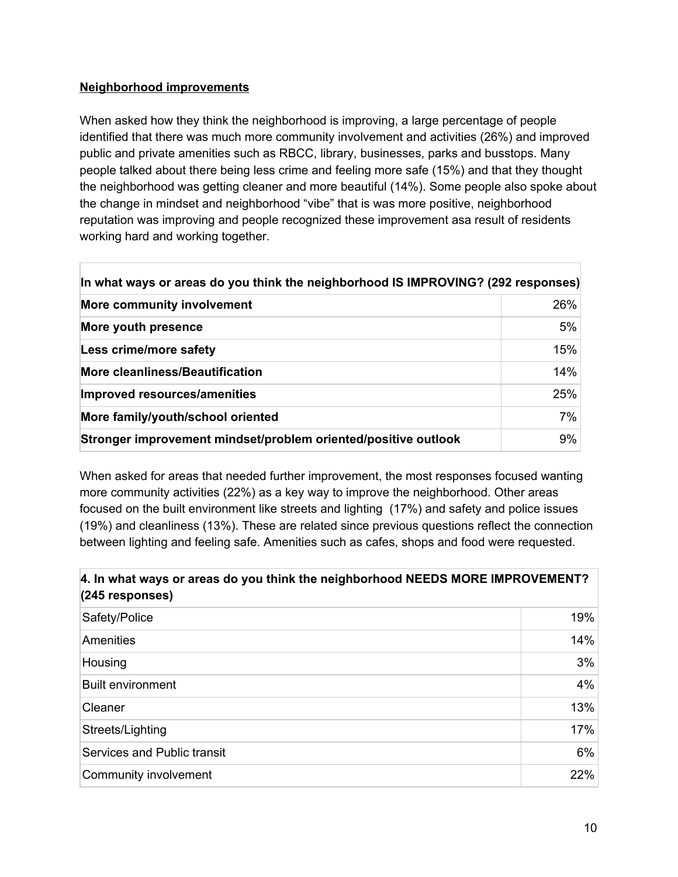### **Neighborhood improvements**

When asked how they think the neighborhood is improving, a large percentage of people identified that there was much more community involvement and activities (26%) and improved public and private amenities such as RBCC, library, businesses, parks and busstops. Many people talked about there being less crime and feeling more safe (15%) and that they thought the neighborhood was getting cleaner and more beautiful (14%). Some people also spoke about the change in mindset and neighborhood "vibe" that is was more positive, neighborhood reputation was improving and people recognized these improvement asa result of residents working hard and working together.

| In what ways or areas do you think the neighborhood IS IMPROVING? (292 responses) |     |
|-----------------------------------------------------------------------------------|-----|
| <b>More community involvement</b>                                                 | 26% |
| More youth presence                                                               | 5%  |
| Less crime/more safety                                                            | 15% |
| <b>More cleanliness/Beautification</b>                                            | 14% |
| Improved resources/amenities                                                      | 25% |
| More family/youth/school oriented                                                 | 7%  |
| Stronger improvement mindset/problem oriented/positive outlook                    | 9%  |

When asked for areas that needed further improvement, the most responses focused wanting more community activities (22%) as a key way to improve the neighborhood. Other areas focused on the built environment like streets and lighting (17%) and safety and police issues (19%) and cleanliness (13%). These are related since previous questions reflect the connection between lighting and feeling safe. Amenities such as cafes, shops and food were requested.

### **4. In what ways or areas do you think the neighborhood NEEDS MORE IMPROVEMENT? (245 responses)**

| Safety/Police               | 19% |
|-----------------------------|-----|
| Amenities                   | 14% |
| Housing                     | 3%  |
| <b>Built environment</b>    | 4%  |
| Cleaner                     | 13% |
| Streets/Lighting            | 17% |
| Services and Public transit | 6%  |
| Community involvement       | 22% |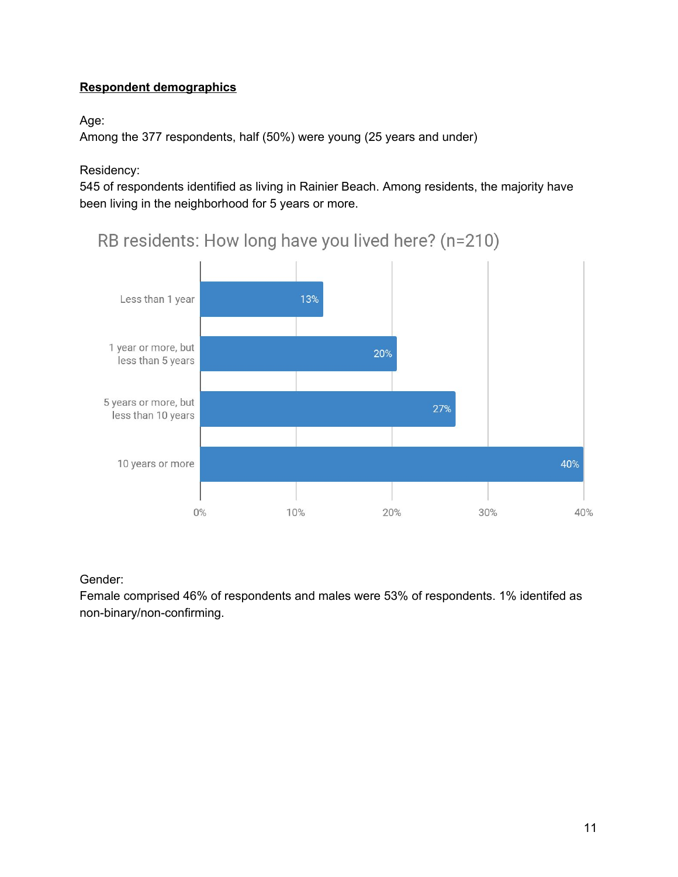### **Respondent demographics**

### Age:

Among the 377 respondents, half (50%) were young (25 years and under)

Residency:

545 of respondents identified as living in Rainier Beach. Among residents, the majority have been living in the neighborhood for 5 years or more.



RB residents: How long have you lived here? (n=210)

Gender:

Female comprised 46% of respondents and males were 53% of respondents. 1% identifed as non-binary/non-confirming.